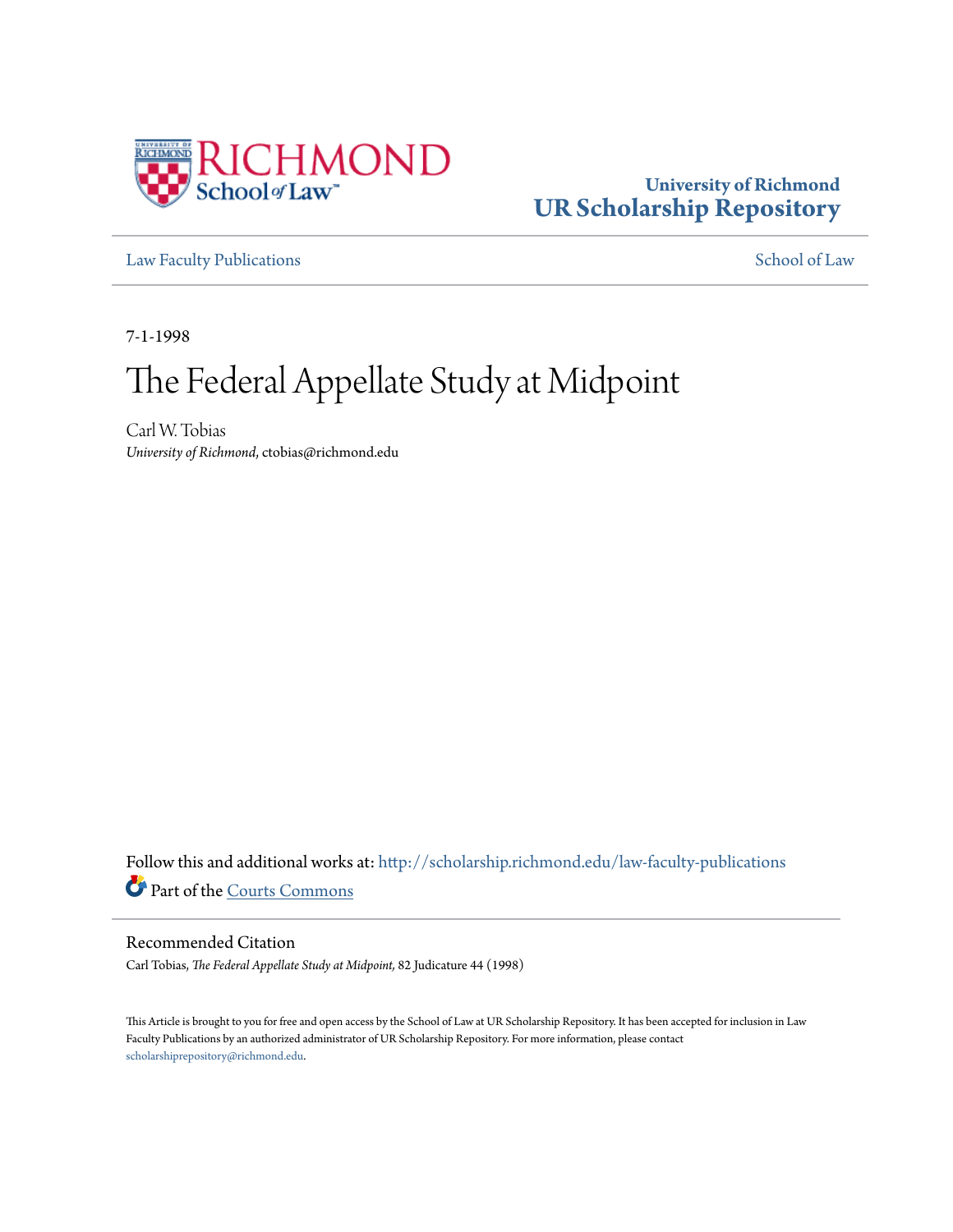

### **University of Richmond [UR Scholarship Repository](http://scholarship.richmond.edu?utm_source=scholarship.richmond.edu%2Flaw-faculty-publications%2F1059&utm_medium=PDF&utm_campaign=PDFCoverPages)**

[Law Faculty Publications](http://scholarship.richmond.edu/law-faculty-publications?utm_source=scholarship.richmond.edu%2Flaw-faculty-publications%2F1059&utm_medium=PDF&utm_campaign=PDFCoverPages) [School of Law](http://scholarship.richmond.edu/law?utm_source=scholarship.richmond.edu%2Flaw-faculty-publications%2F1059&utm_medium=PDF&utm_campaign=PDFCoverPages)

7-1-1998

# The Federal Appellate Study at Midpoint

Carl W. Tobias *University of Richmond*, ctobias@richmond.edu

Follow this and additional works at: [http://scholarship.richmond.edu/law-faculty-publications](http://scholarship.richmond.edu/law-faculty-publications?utm_source=scholarship.richmond.edu%2Flaw-faculty-publications%2F1059&utm_medium=PDF&utm_campaign=PDFCoverPages) Part of the [Courts Commons](http://network.bepress.com/hgg/discipline/839?utm_source=scholarship.richmond.edu%2Flaw-faculty-publications%2F1059&utm_medium=PDF&utm_campaign=PDFCoverPages)

### Recommended Citation

Carl Tobias, *The Federal Appellate Study at Midpoint,* 82 Judicature 44 (1998)

This Article is brought to you for free and open access by the School of Law at UR Scholarship Repository. It has been accepted for inclusion in Law Faculty Publications by an authorized administrator of UR Scholarship Repository. For more information, please contact [scholarshiprepository@richmond.edu.](mailto:scholarshiprepository@richmond.edu)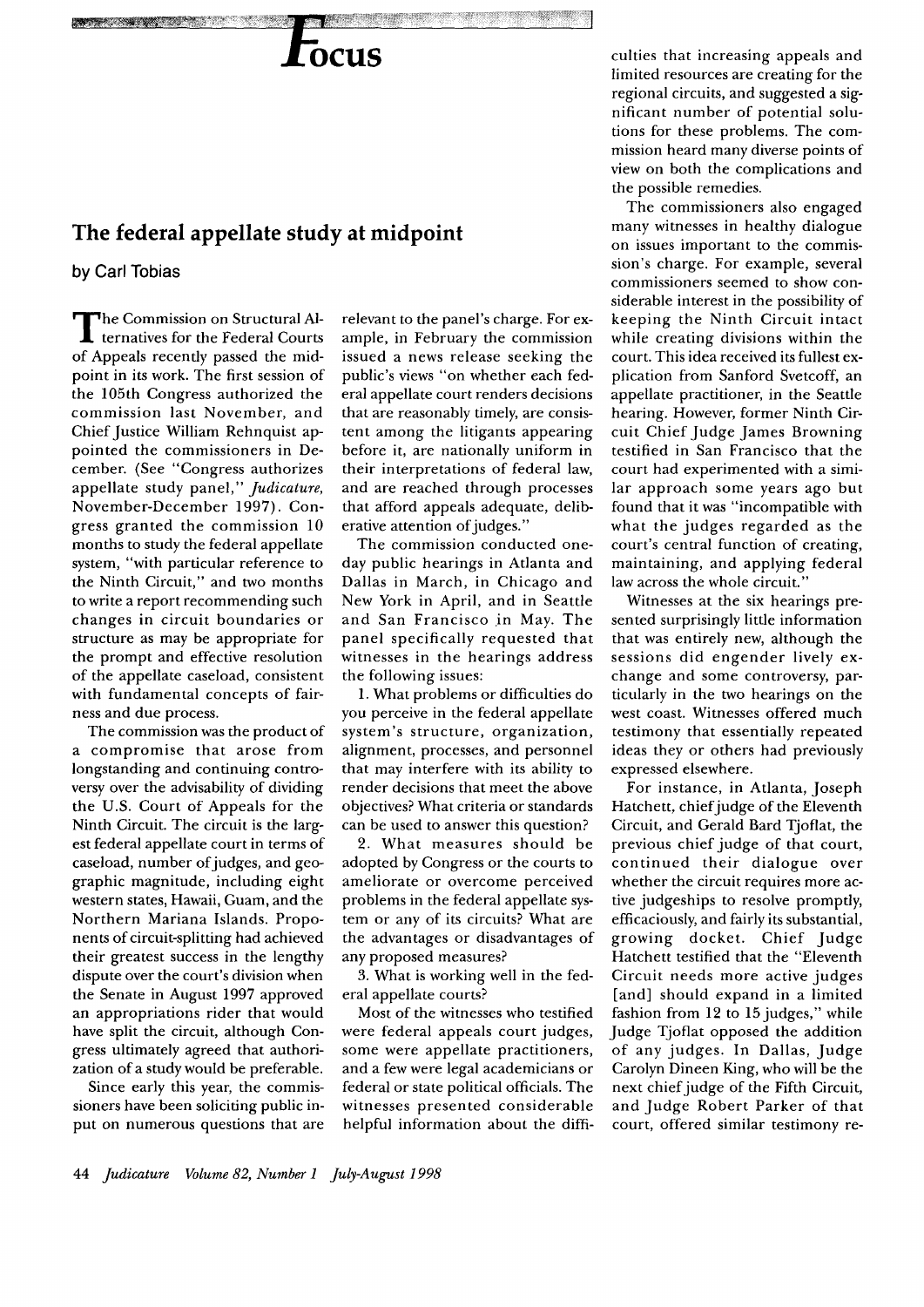## **OCUS**

## **The federal appellate study at midpoint**

by Carl Tobias

The Commission on Structural Al-ternatives for the Federal Courts of Appeals recently passed the midpoint in its work. The first session of the 105th Congress authorized the commission last November, and Chief Justice William Rehnquist appointed the commissioners in December. (See "Congress authorizes appellate study panel," *judicature,*  November-December 1997). Congress granted the commission 10 months to study the federal appellate system, "with particular reference to the Ninth Circuit," and two months to write a report recommending such changes in circuit boundaries or structure as may be appropriate for the prompt and effective resolution of the appellate caseload, consistent with fundamental concepts of fairness and due process.

The commission was the product of a compromise that arose from longstanding and continuing controversy over the advisability of dividing the U.S. Court of Appeals for the Ninth Circuit. The circuit is the largest federal appellate court in terms of caseload, number of judges, and geographic magnitude, including eight western states, Hawaii, Guam, and the Northern Mariana Islands. Proponents of circuit-splitting had achieved their greatest success in the lengthy dispute over the court's division when the Senate in August 1997 approved an appropriations rider that would have split the circuit, although Congress ultimately agreed that authorization of a study would be preferable.

Since early this year, the commissioners have been soliciting public input on numerous questions that are

relevant to the panel's charge. For example, in February the commission issued a news release seeking the public's views "on whether each federal appellate court renders decisions that are reasonably timely, are consistent among the litigants appearing before it, are nationally uniform in their interpretations of federal law, and are reached through processes that afford appeals adequate, deliberative attention of judges."

The commission conducted oneday public hearings in Atlanta and Dallas in March, in Chicago and New York in April, and in Seattle and San Francisco in May. The panel specifically requested that witnesses in the hearings address the following issues:

1. What problems or difficulties do you perceive in the federal appellate system's structure, organization, alignment, processes, and personnel that may interfere with its ability to render decisions that meet the above objectives? What criteria or standards can be used to answer this question?

2. What measures should be adopted by Congress or the courts to ameliorate or overcome perceived problems in the federal appellate system or any of its circuits? What are the advantages or disadvantages of any proposed measures?

3. What is working well in the federal appellate courts?

Most of the witnesses who testified were federal appeals court judges, some were appellate practitioners, and a few were legal academicians or federal or state political officials. The witnesses presented considerable helpful information about the difficulties that increasing appeals and limited resources are creating for the regional circuits, and suggested a significant number of potential solutions for these problems. The commission heard many diverse points of view on both the complications and the possible remedies.

The commissioners also engaged many witnesses in healthy dialogue on issues important to the commission's charge. For example, several commissioners seemed to show considerable interest in the possibility of keeping the Ninth Circuit intact while creating divisions within the court. This idea received its fullest explication from Sanford Svetcoff, an appellate practitioner, in the Seattle hearing. However, former Ninth Circuit Chief Judge James Browning testified in San Francisco that the court had experimented with a similar approach some years ago but found that it was "incompatible with what the judges regarded as the court's central function of creating, maintaining, and applying federal law across the whole circuit.'

Witnesses at the six hearings presented surprisingly little information that was entirely new, although the sessions did engender lively exchange and some controversy, particularly in the two hearings on the west coast. Witnesses offered much testimony that essentially repeated ideas they or others had previously expressed elsewhere.

For instance, in Atlanta, Joseph Hatchett, chief judge of the Eleventh Circuit, and Gerald Bard Tjoflat, the previous chief judge of that court, continued their dialogue over whether the circuit requires more active judgeships to resolve promptly, efficaciously, and fairly its substantial, growing docket. Chief Judge Hatchett testified that the "Eleventh Circuit needs more active judges [and] should expand in a limited fashion from 12 to 15 judges," while Judge Tjoflat opposed the addition of any judges. In Dallas, Judge Carolyn Dineen King, who will be the next chief judge of the Fifth Circuit, and Judge Robert Parker of that court, offered similar testimony re-